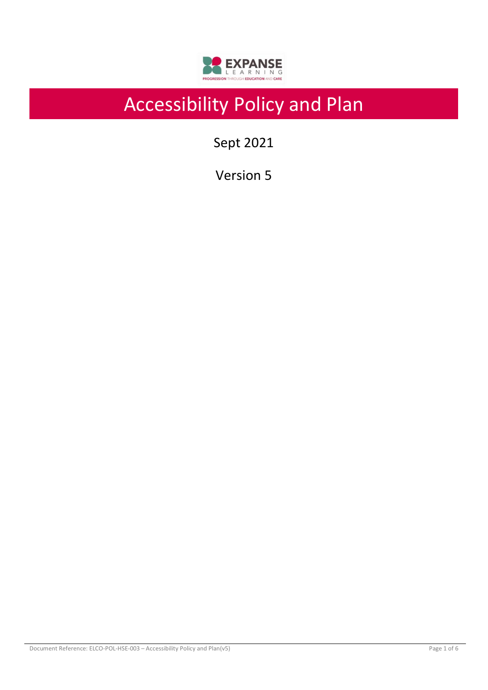

# Accessibility Policy and Plan

Sept 2021

Version 5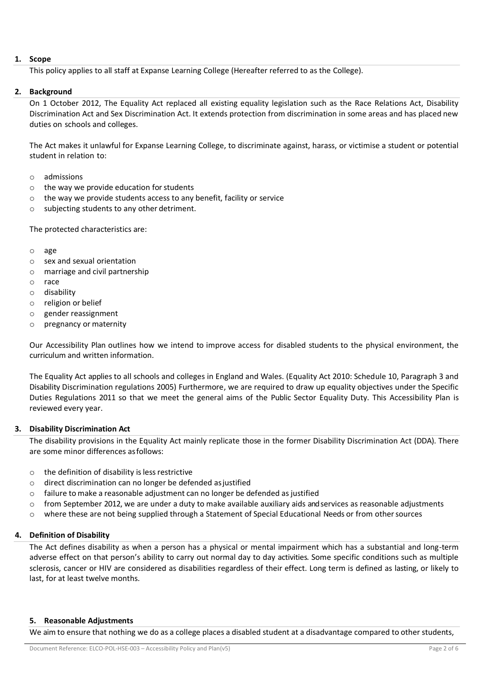# **1. Scope**

This policy applies to all staff at Expanse Learning College (Hereafter referred to as the College).

# **2. Background**

On 1 October 2012, The Equality Act replaced all existing equality legislation such as the Race Relations Act, Disability Discrimination Act and Sex Discrimination Act. It extends protection from discrimination in some areas and has placed new duties on schools and colleges.

The Act makes it unlawful for Expanse Learning College, to discriminate against, harass, or victimise a student or potential student in relation to:

- o admissions
- $\circ$  the way we provide education for students
- o the way we provide students access to any benefit, facility or service
- o subjecting students to any other detriment.

The protected characteristics are:

- o age
- o sex and sexual orientation
- o marriage and civil partnership
- o race
- o disability
- o religion or belief
- o gender reassignment
- o pregnancy or maternity

Our Accessibility Plan outlines how we intend to improve access for disabled students to the physical environment, the curriculum and written information.

The Equality Act applies to all schools and colleges in England and Wales. (Equality Act 2010: Schedule 10, Paragraph 3 and Disability Discrimination regulations 2005) Furthermore, we are required to draw up equality objectives under the Specific Duties Regulations 2011 so that we meet the general aims of the Public Sector Equality Duty. This Accessibility Plan is reviewed every year.

# **3. Disability Discrimination Act**

The disability provisions in the Equality Act mainly replicate those in the former Disability Discrimination Act (DDA). There are some minor differences asfollows:

- $\circ$  the definition of disability is less restrictive
- $\circ$  direct discrimination can no longer be defended as justified
- o failure to make a reasonable adjustment can no longer be defended as justified
- $\circ$  from September 2012, we are under a duty to make available auxiliary aids and services as reasonable adjustments
- o where these are not being supplied through a Statement of Special Educational Needs or from othersources

# **4. Definition of Disability**

The Act defines disability as when a person has a physical or mental impairment which has a substantial and long-term adverse effect on that person's ability to carry out normal day to day activities*.* Some specific conditions such as multiple sclerosis, cancer or HIV are considered as disabilities regardless of their effect. Long term is defined as lasting, or likely to last, for at least twelve months.

# **5. Reasonable Adjustments**

We aim to ensure that nothing we do as a college places a disabled student at a disadvantage compared to other students,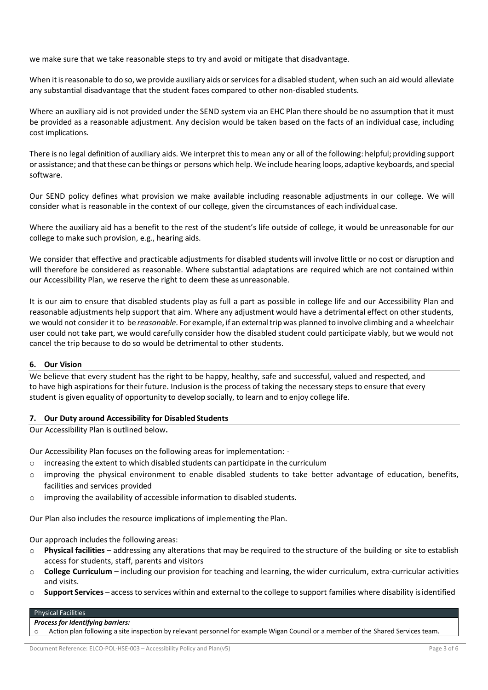we make sure that we take reasonable steps to try and avoid or mitigate that disadvantage.

When it is reasonable to do so, we provide auxiliary aids or services for a disabled student, when such an aid would alleviate any substantial disadvantage that the student faces compared to other non-disabled students.

Where an auxiliary aid is not provided under the SEND system via an EHC Plan there should be no assumption that it must be provided as a reasonable adjustment. Any decision would be taken based on the facts of an individual case, including cost implications.

There is no legal definition of auxiliary aids. We interpret this to mean any or all of the following: helpful; providing support or assistance; and thatthese can bethings or persons which help. We include hearing loops, adaptive keyboards, and special software.

Our SEND policy defines what provision we make available including reasonable adjustments in our college. We will consider what is reasonable in the context of our college, given the circumstances of each individual case.

Where the auxiliary aid has a benefit to the rest of the student's life outside of college, it would be unreasonable for our college to make such provision, e.g., hearing aids.

We consider that effective and practicable adjustments for disabled students will involve little or no cost or disruption and will therefore be considered as reasonable. Where substantial adaptations are required which are not contained within our Accessibility Plan, we reserve the right to deem these asunreasonable.

It is our aim to ensure that disabled students play as full a part as possible in college life and our Accessibility Plan and reasonable adjustments help support that aim. Where any adjustment would have a detrimental effect on other students, we would not consider it to be *reasonable*. For example, if an external trip was planned to involve climbing and a wheelchair user could not take part, we would carefully consider how the disabled student could participate viably, but we would not cancel the trip because to do so would be detrimental to other students.

# **6. Our Vision**

We believe that every student has the right to be happy, healthy, safe and successful, valued and respected, and to have high aspirations for their future. Inclusion is the process of taking the necessary steps to ensure that every student is given equality of opportunity to develop socially, to learn and to enjoy college life.

# **7. Our Duty around Accessibility for Disabled Students**

Our Accessibility Plan is outlined below**.**

Our Accessibility Plan focuses on the following areas for implementation: -

- $\circ$  increasing the extent to which disabled students can participate in the curriculum
- $\circ$  improving the physical environment to enable disabled students to take better advantage of education, benefits, facilities and services provided
- o improving the availability of accessible information to disabled students.

Our Plan also includes the resource implications of implementing the Plan.

Our approach includes the following areas:

- o **Physical facilities** addressing any alterations that may be required to the structure of the building or site to establish access for students, staff, parents and visitors
- o **College Curriculum** including our provision for teaching and learning, the wider curriculum, extra-curricular activities and visits.
- o **Support Services** accessto services within and external to the college to support families where disability isidentified

#### Physical Facilities

#### *Process for Identifying barriers:*

Action plan following a site inspection by relevant personnel for example Wigan Council or a member of the Shared Services team.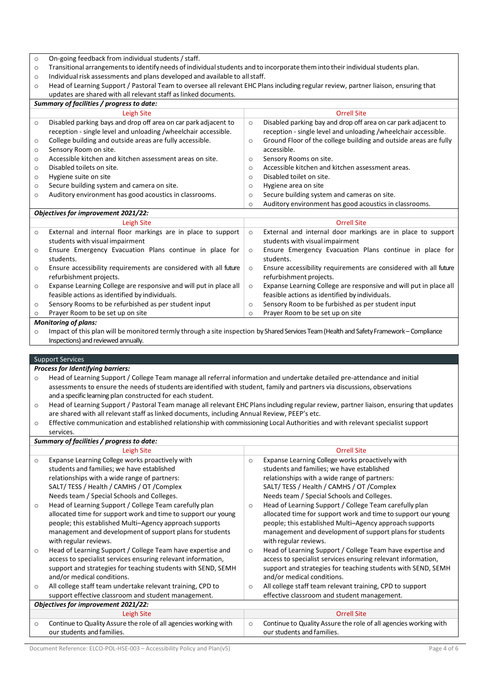o On-going feedback from individual students / staff.

o Transitional arrangementsto identify needs of individualstudents and to incorporate them into their individualstudents plan.

 $\circ$  Individual risk assessments and plans developed and available to all staff.

|                                                                 | Head of Learning Support / Pastoral Team to oversee all relevant EHC Plans including regular review, partner liaison, ensuring that |
|-----------------------------------------------------------------|-------------------------------------------------------------------------------------------------------------------------------------|
| updates are shared with all relevant staff as linked documents. |                                                                                                                                     |

| Summary of facilities / progress to date: |                                                                                                                                   |          |                                                                                                                                  |  |  |
|-------------------------------------------|-----------------------------------------------------------------------------------------------------------------------------------|----------|----------------------------------------------------------------------------------------------------------------------------------|--|--|
|                                           | Leigh Site                                                                                                                        |          | <b>Orrell Site</b>                                                                                                               |  |  |
| $\circ$                                   | Disabled parking bays and drop off area on car park adjacent to<br>reception - single level and unloading /wheelchair accessible. | $\circ$  | Disabled parking bay and drop off area on car park adjacent to<br>reception - single level and unloading /wheelchair accessible. |  |  |
| $\circ$                                   | College building and outside areas are fully accessible.                                                                          | $\circ$  | Ground Floor of the college building and outside areas are fully                                                                 |  |  |
| $\circ$                                   | Sensory Room on site.                                                                                                             |          | accessible.                                                                                                                      |  |  |
| $\circ$                                   | Accessible kitchen and kitchen assessment areas on site.                                                                          | $\circ$  | Sensory Rooms on site.                                                                                                           |  |  |
| $\circ$                                   | Disabled toilets on site.                                                                                                         | $\Omega$ | Accessible kitchen and kitchen assessment areas.                                                                                 |  |  |
| $\circ$                                   | Hygiene suite on site                                                                                                             | $\Omega$ | Disabled toilet on site.                                                                                                         |  |  |
| $\circ$                                   | Secure building system and camera on site.                                                                                        | O        | Hygiene area on site                                                                                                             |  |  |
| $\circ$                                   | Auditory environment has good acoustics in classrooms.                                                                            | $\circ$  | Secure building system and cameras on site.                                                                                      |  |  |
|                                           |                                                                                                                                   | $\circ$  | Auditory environment has good acoustics in classrooms.                                                                           |  |  |

#### *Objectives for improvement 2021/22:* Leigh Site Orrell Site o External and internal floor markings are in place to support students with visual impairment o Ensure Emergency Evacuation Plans continue in place for students. o Ensure accessibility requirements are considered with all future refurbishment projects. o Expanse Learning College are responsive and will put in place all feasible actions as identified by individuals. o Sensory Rooms to be refurbished as per student input o Prayer Room to be set up on site o External and internal door markings are in place to support students with visual impairment o Ensure Emergency Evacuation Plans continue in place for students. o Ensure accessibility requirements are considered with all future refurbishment projects. o Expanse Learning College are responsive and will put in place all feasible actions as identified by individuals. o Sensory Room to be furbished as per student input o Prayer Room to be set up on site

# *Monitoring of plans:*

o Impact of this plan will be monitored termly through a site inspection by Shared Services Team (Health and Safety Framework – Compliance Inspections) and reviewed annually.

#### Support Services

*Process for Identifying barriers:*

o Head of Learning Support / College Team manage all referral information and undertake detailed pre-attendance and initial assessments to ensure the needs of students are identified with student, family and partners via discussions, observations and a specific learning plan constructed for each student.

- o Head of Learning Support / Pastoral Team manage all relevant EHC Plans including regular review, partner liaison, ensuring that updates are shared with all relevant staff aslinked documents, including Annual Review, PEEP's etc.
- o Effective communication and established relationship with commissioning Local Authorities and with relevant specialist support

services.

| Summary of facilities / progress to date: |                                                                  |          |                                                                  |  |  |
|-------------------------------------------|------------------------------------------------------------------|----------|------------------------------------------------------------------|--|--|
|                                           | Leigh Site                                                       |          | <b>Orrell Site</b>                                               |  |  |
| $\circ$                                   | Expanse Learning College works proactively with                  | $\circ$  | Expanse Learning College works proactively with                  |  |  |
|                                           | students and families; we have established                       |          | students and families; we have established                       |  |  |
|                                           | relationships with a wide range of partners:                     |          | relationships with a wide range of partners:                     |  |  |
|                                           | SALT/TESS / Health / CAMHS / OT / Complex                        |          | SALT/TESS / Health / CAMHS / OT / Complex                        |  |  |
|                                           | Needs team / Special Schools and Colleges.                       |          | Needs team / Special Schools and Colleges.                       |  |  |
| $\circ$                                   | Head of Learning Support / College Team carefully plan           | $\Omega$ | Head of Learning Support / College Team carefully plan           |  |  |
|                                           | allocated time for support work and time to support our young    |          | allocated time for support work and time to support our young    |  |  |
|                                           | people; this established Multi-Agency approach supports          |          | people; this established Multi-Agency approach supports          |  |  |
|                                           | management and development of support plans for students         |          | management and development of support plans for students         |  |  |
|                                           | with regular reviews.                                            |          | with regular reviews.                                            |  |  |
| $\circ$                                   | Head of Learning Support / College Team have expertise and       | $\circ$  | Head of Learning Support / College Team have expertise and       |  |  |
|                                           | access to specialist services ensuring relevant information,     |          | access to specialist services ensuring relevant information,     |  |  |
|                                           | support and strategies for teaching students with SEND, SEMH     |          | support and strategies for teaching students with SEND, SEMH     |  |  |
|                                           | and/or medical conditions.                                       |          | and/or medical conditions.                                       |  |  |
| $\circ$                                   | All college staff team undertake relevant training, CPD to       | $\circ$  | All college staff team relevant training, CPD to support         |  |  |
|                                           | support effective classroom and student management.              |          | effective classroom and student management.                      |  |  |
|                                           | Objectives for improvement 2021/22:                              |          |                                                                  |  |  |
|                                           | Leigh Site                                                       |          | <b>Orrell Site</b>                                               |  |  |
| $\circ$                                   | Continue to Quality Assure the role of all agencies working with | $\circ$  | Continue to Quality Assure the role of all agencies working with |  |  |
|                                           | our students and families.                                       |          | our students and families.                                       |  |  |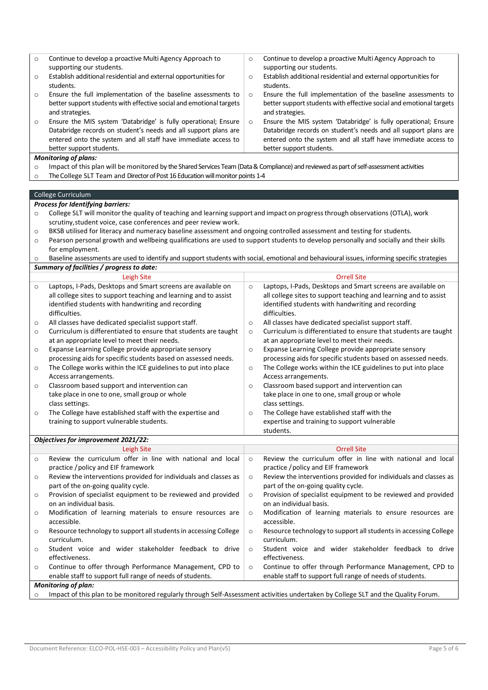| $\circ$ | Continue to develop a proactive Multi Agency Approach to                                                                                                                                          | Continue to develop a proactive Multi Agency Approach to<br>$\circ$                                                                             |
|---------|---------------------------------------------------------------------------------------------------------------------------------------------------------------------------------------------------|-------------------------------------------------------------------------------------------------------------------------------------------------|
|         | supporting our students.                                                                                                                                                                          | supporting our students.                                                                                                                        |
| $\circ$ | Establish additional residential and external opportunities for                                                                                                                                   | Establish additional residential and external opportunities for<br>$\circ$                                                                      |
|         | students.<br>Ensure the full implementation of the baseline assessments to                                                                                                                        | students.                                                                                                                                       |
| $\circ$ | better support students with effective social and emotional targets                                                                                                                               | Ensure the full implementation of the baseline assessments to<br>$\circ$<br>better support students with effective social and emotional targets |
|         | and strategies.                                                                                                                                                                                   | and strategies.                                                                                                                                 |
| $\circ$ | Ensure the MIS system 'Databridge' is fully operational; Ensure<br>Databridge records on student's needs and all support plans are                                                                | Ensure the MIS system 'Databridge' is fully operational; Ensure<br>$\circ$<br>Databridge records on student's needs and all support plans are   |
|         | entered onto the system and all staff have immediate access to                                                                                                                                    | entered onto the system and all staff have immediate access to                                                                                  |
|         | better support students.                                                                                                                                                                          | better support students.                                                                                                                        |
|         | <b>Monitoring of plans:</b>                                                                                                                                                                       |                                                                                                                                                 |
| $\circ$ | Impact of this plan will be monitored by the Shared Services Team (Data & Compliance) and reviewed as part of self-assessment activities                                                          |                                                                                                                                                 |
| $\circ$ | The College SLT Team and Director of Post 16 Education will monitor points 1-4                                                                                                                    |                                                                                                                                                 |
|         |                                                                                                                                                                                                   |                                                                                                                                                 |
|         | College Curriculum                                                                                                                                                                                |                                                                                                                                                 |
|         | Process for Identifying barriers:                                                                                                                                                                 |                                                                                                                                                 |
| $\circ$ | College SLT will monitor the quality of teaching and learning support and impact on progress through observations (OTLA), work<br>scrutiny, student voice, case conferences and peer review work. |                                                                                                                                                 |
| $\circ$ | BKSB utilised for literacy and numeracy baseline assessment and ongoing controlled assessment and testing for students.                                                                           |                                                                                                                                                 |
| $\circ$ |                                                                                                                                                                                                   | Pearson personal growth and wellbeing qualifications are used to support students to develop personally and socially and their skills           |
|         | for employment.                                                                                                                                                                                   |                                                                                                                                                 |
| $\circ$ |                                                                                                                                                                                                   | Baseline assessments are used to identify and support students with social, emotional and behavioural issues, informing specific strategies     |
|         | Summary of facilities / progress to date:                                                                                                                                                         |                                                                                                                                                 |
|         | Leigh Site                                                                                                                                                                                        | <b>Orrell Site</b>                                                                                                                              |
| $\circ$ | Laptops, I-Pads, Desktops and Smart screens are available on                                                                                                                                      | Laptops, I-Pads, Desktops and Smart screens are available on<br>$\circ$                                                                         |
|         | all college sites to support teaching and learning and to assist<br>identified students with handwriting and recording                                                                            | all college sites to support teaching and learning and to assist<br>identified students with handwriting and recording                          |
|         | difficulties.                                                                                                                                                                                     | difficulties.                                                                                                                                   |
| $\circ$ | All classes have dedicated specialist support staff.                                                                                                                                              | All classes have dedicated specialist support staff.<br>$\circ$                                                                                 |
| $\circ$ | Curriculum is differentiated to ensure that students are taught                                                                                                                                   | Curriculum is differentiated to ensure that students are taught<br>$\circ$                                                                      |
|         | at an appropriate level to meet their needs.                                                                                                                                                      | at an appropriate level to meet their needs.                                                                                                    |
| $\circ$ | Expanse Learning College provide appropriate sensory                                                                                                                                              | Expanse Learning College provide appropriate sensory<br>$\circ$                                                                                 |
|         | processing aids for specific students based on assessed needs.                                                                                                                                    | processing aids for specific students based on assessed needs.                                                                                  |
| $\circ$ | The College works within the ICE guidelines to put into place                                                                                                                                     | The College works within the ICE guidelines to put into place<br>$\circ$                                                                        |
|         | Access arrangements.                                                                                                                                                                              | Access arrangements.                                                                                                                            |
| $\circ$ | Classroom based support and intervention can<br>take place in one to one, small group or whole                                                                                                    | Classroom based support and intervention can<br>$\circ$<br>take place in one to one, small group or whole                                       |
|         | class settings.                                                                                                                                                                                   | class settings.                                                                                                                                 |
|         | The College have established staff with the expertise and                                                                                                                                         | The College have established staff with the                                                                                                     |
|         | training to support vulnerable students.                                                                                                                                                          | expertise and training to support vulnerable                                                                                                    |
|         |                                                                                                                                                                                                   | students.                                                                                                                                       |
|         | Objectives for improvement 2021/22:                                                                                                                                                               |                                                                                                                                                 |
|         | <b>Leigh Site</b>                                                                                                                                                                                 | <b>Orrell Site</b>                                                                                                                              |
| O       | Review the curriculum offer in line with national and local<br>practice / policy and EIF framework                                                                                                | Review the curriculum offer in line with national and local<br>$\circ$<br>practice / policy and EIF framework                                   |
| $\circ$ | Review the interventions provided for individuals and classes as                                                                                                                                  | Review the interventions provided for individuals and classes as<br>$\circ$                                                                     |
|         | part of the on-going quality cycle.                                                                                                                                                               | part of the on-going quality cycle.                                                                                                             |
| $\circ$ | Provision of specialist equipment to be reviewed and provided                                                                                                                                     | Provision of specialist equipment to be reviewed and provided<br>$\circ$                                                                        |
|         | on an individual basis.                                                                                                                                                                           | on an individual basis.                                                                                                                         |
| $\circ$ | Modification of learning materials to ensure resources are                                                                                                                                        | Modification of learning materials to ensure resources are<br>$\circ$                                                                           |
|         | accessible.                                                                                                                                                                                       | accessible.                                                                                                                                     |
| $\circ$ | Resource technology to support all students in accessing College<br>curriculum.                                                                                                                   | Resource technology to support all students in accessing College<br>$\circ$<br>curriculum.                                                      |
| $\circ$ | Student voice and wider stakeholder feedback to drive                                                                                                                                             | Student voice and wider stakeholder feedback to drive<br>$\circ$                                                                                |
|         | effectiveness.                                                                                                                                                                                    | effectiveness.                                                                                                                                  |
| $\circ$ | Continue to offer through Performance Management, CPD to                                                                                                                                          | Continue to offer through Performance Management, CPD to<br>$\circ$                                                                             |
|         | enable staff to support full range of needs of students.                                                                                                                                          | enable staff to support full range of needs of students.                                                                                        |
|         | <b>Monitoring of plan:</b>                                                                                                                                                                        |                                                                                                                                                 |
| $\circ$ |                                                                                                                                                                                                   | Impact of this plan to be monitored regularly through Self-Assessment activities undertaken by College SLT and the Quality Forum.               |